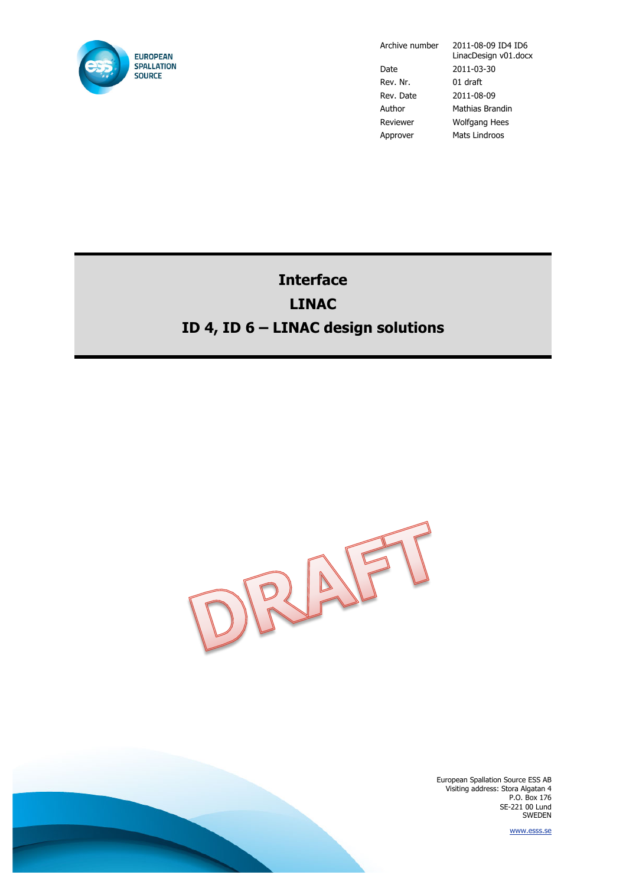

Archive number 2011-08-09 ID4 ID6

LinacDesign v01.docx Date 2011-03-30 Rev. Nr. 01 draft Rev. Date 2011-08-09 Author Mathias Brandin Reviewer Wolfgang Hees Approver Mats Lindroos

# **Interface LINAC ID 4, ID 6 – LINAC design solutions**



European Spallation Source ESS AB Visiting address: Stora Algatan 4 P.O. Box 176 SE-221 00 Lund SWEDEN

www.esss.se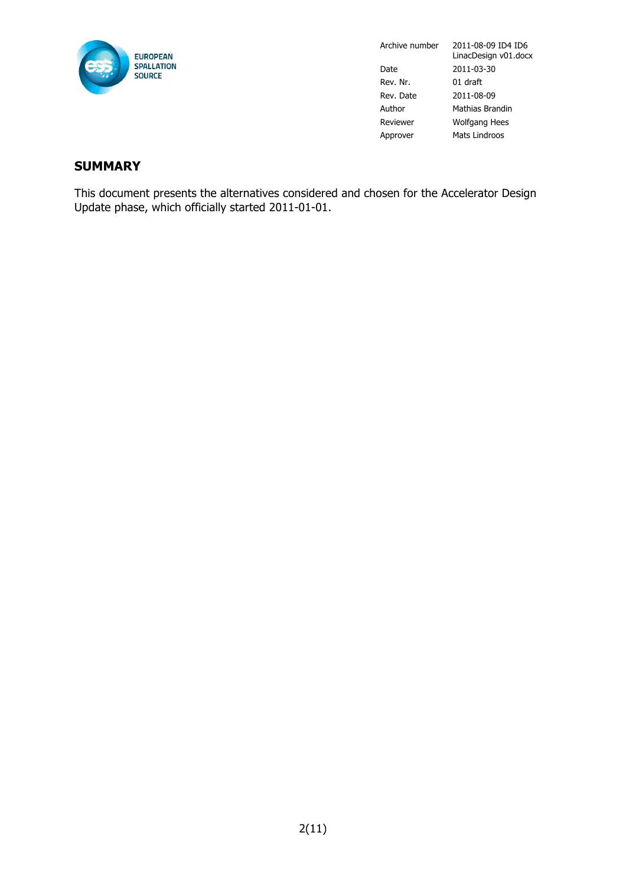

#### **SUMMARY**

This document presents the alternatives considered and chosen for the Accelerator Design Update phase, which officially started 2011-01-01.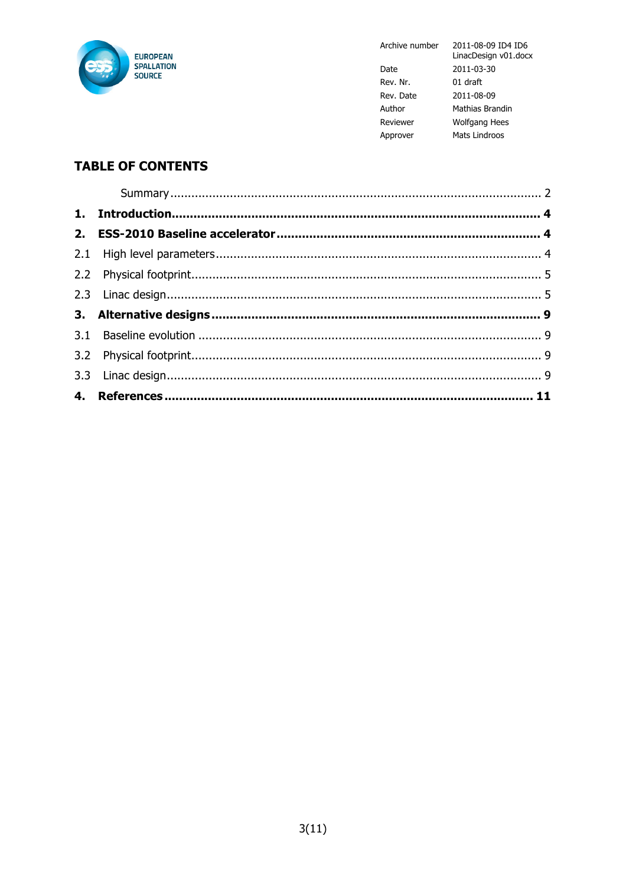

Archive number

LinacDesign v01.docx 2011-03-30 Date Rev. Nr. 01 draft Rev. Date 2011-08-09 Author Mathias Brandin Reviewer Wolfgang Hees Approver Mats Lindroos

2011-08-09 ID4 ID6

## **TABLE OF CONTENTS**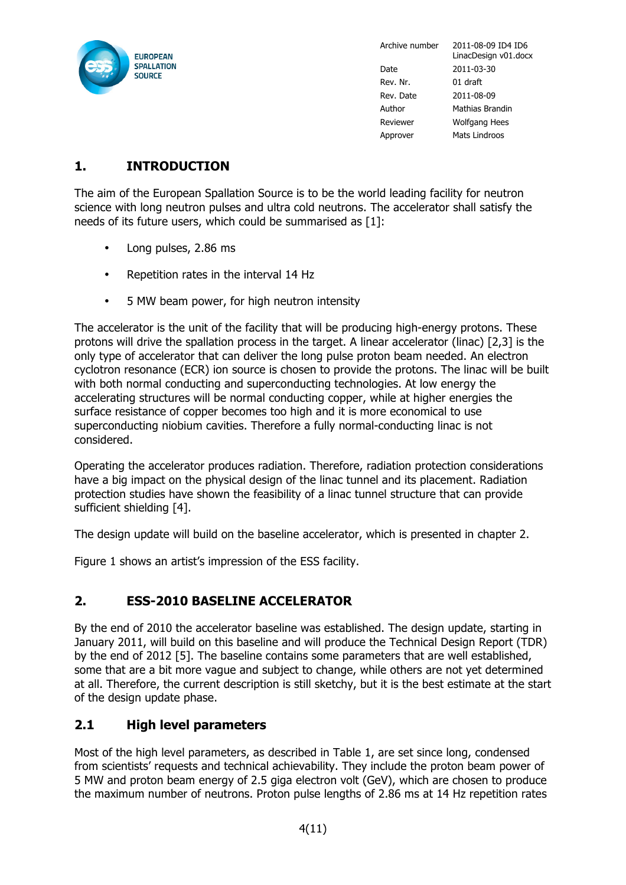

### **1. INTRODUCTION**

The aim of the European Spallation Source is to be the world leading facility for neutron science with long neutron pulses and ultra cold neutrons. The accelerator shall satisfy the needs of its future users, which could be summarised as [1]:

- Long pulses, 2.86 ms
- Repetition rates in the interval 14 Hz
- 5 MW beam power, for high neutron intensity

The accelerator is the unit of the facility that will be producing high-energy protons. These protons will drive the spallation process in the target. A linear accelerator (linac) [2,3] is the only type of accelerator that can deliver the long pulse proton beam needed. An electron cyclotron resonance (ECR) ion source is chosen to provide the protons. The linac will be built with both normal conducting and superconducting technologies. At low energy the accelerating structures will be normal conducting copper, while at higher energies the surface resistance of copper becomes too high and it is more economical to use superconducting niobium cavities. Therefore a fully normal-conducting linac is not considered.

Operating the accelerator produces radiation. Therefore, radiation protection considerations have a big impact on the physical design of the linac tunnel and its placement. Radiation protection studies have shown the feasibility of a linac tunnel structure that can provide sufficient shielding [4].

The design update will build on the baseline accelerator, which is presented in chapter 2.

Figure 1 shows an artist's impression of the ESS facility.

#### **2. ESS-2010 BASELINE ACCELERATOR**

By the end of 2010 the accelerator baseline was established. The design update, starting in January 2011, will build on this baseline and will produce the Technical Design Report (TDR) by the end of 2012 [5]. The baseline contains some parameters that are well established, some that are a bit more vague and subject to change, while others are not yet determined at all. Therefore, the current description is still sketchy, but it is the best estimate at the start of the design update phase.

#### **2.1 High level parameters**

Most of the high level parameters, as described in Table 1, are set since long, condensed from scientists' requests and technical achievability. They include the proton beam power of 5 MW and proton beam energy of 2.5 giga electron volt (GeV), which are chosen to produce the maximum number of neutrons. Proton pulse lengths of 2.86 ms at 14 Hz repetition rates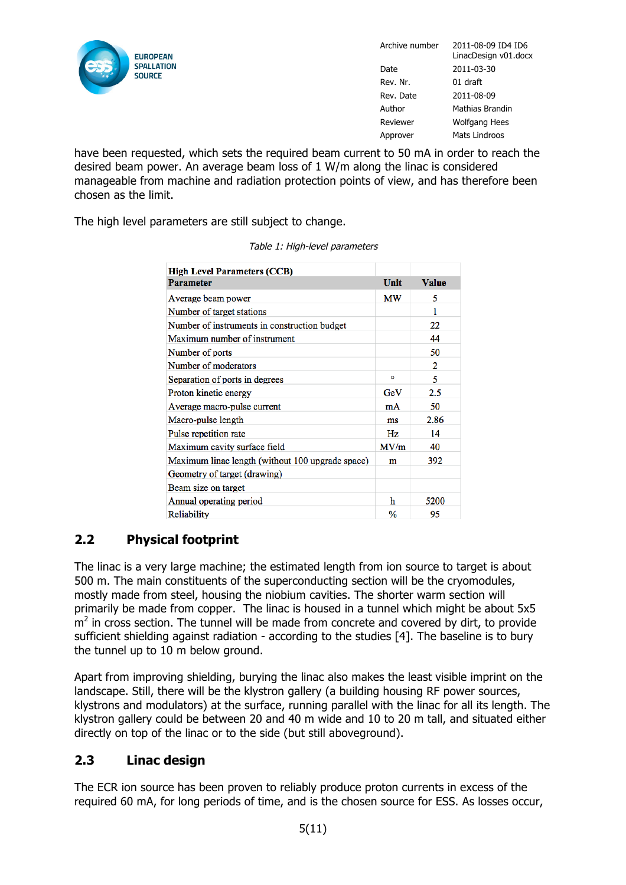

have been requested, which sets the required beam current to 50 mA in order to reach the desired beam power. An average beam loss of 1 W/m along the linac is considered manageable from machine and radiation protection points of view, and has therefore been chosen as the limit.

The high level parameters are still subject to change.

| <b>High Level Parameters (CCB)</b>               |      |              |  |  |
|--------------------------------------------------|------|--------------|--|--|
| <b>Parameter</b>                                 | Unit | <b>Value</b> |  |  |
| Average beam power                               | МW   | 5            |  |  |
| Number of target stations                        |      | 1            |  |  |
| Number of instruments in construction budget     |      | 22           |  |  |
| Maximum number of instrument                     |      | 44           |  |  |
| Number of ports                                  |      | 50           |  |  |
| Number of moderators                             |      | 2            |  |  |
| Separation of ports in degrees                   | ۰    | 5            |  |  |
| Proton kinetic energy                            | GeV  | $2.5\,$      |  |  |
| Average macro-pulse current                      | mA   | 50           |  |  |
| Macro-pulse length                               | ms   | 2.86         |  |  |
| Pulse repetition rate                            | Hz   | 14           |  |  |
| Maximum cavity surface field                     | MV/m | 40           |  |  |
| Maximum linac length (without 100 upgrade space) | m    | 392          |  |  |
| Geometry of target (drawing)                     |      |              |  |  |
| Beam size on target                              |      |              |  |  |
| Annual operating period                          | h    | 5200         |  |  |
| Reliability                                      | $\%$ | 95           |  |  |

Table 1: High-level parameters

#### **2.2 Physical footprint**

The linac is a very large machine; the estimated length from ion source to target is about 500 m. The main constituents of the superconducting section will be the cryomodules, mostly made from steel, housing the niobium cavities. The shorter warm section will primarily be made from copper. The linac is housed in a tunnel which might be about 5x5  $m<sup>2</sup>$  in cross section. The tunnel will be made from concrete and covered by dirt, to provide sufficient shielding against radiation - according to the studies [4]. The baseline is to bury the tunnel up to 10 m below ground.

Apart from improving shielding, burying the linac also makes the least visible imprint on the landscape. Still, there will be the klystron gallery (a building housing RF power sources, klystrons and modulators) at the surface, running parallel with the linac for all its length. The klystron gallery could be between 20 and 40 m wide and 10 to 20 m tall, and situated either directly on top of the linac or to the side (but still aboveground).

#### **2.3 Linac design**

The ECR ion source has been proven to reliably produce proton currents in excess of the required 60 mA, for long periods of time, and is the chosen source for ESS. As losses occur,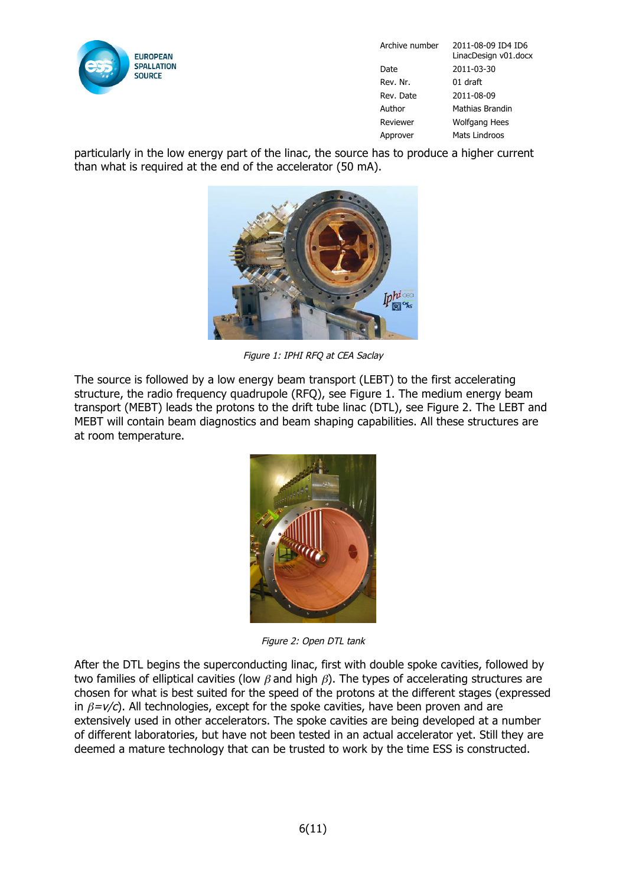

particularly in the low energy part of the linac, the source has to produce a higher current than what is required at the end of the accelerator (50 mA).



Figure 1: IPHI RFQ at CEA Saclay

The source is followed by a low energy beam transport (LEBT) to the first accelerating structure, the radio frequency quadrupole (RFQ), see Figure 1. The medium energy beam transport (MEBT) leads the protons to the drift tube linac (DTL), see Figure 2. The LEBT and MEBT will contain beam diagnostics and beam shaping capabilities. All these structures are at room temperature.



Figure 2: Open DTL tank

After the DTL begins the superconducting linac, first with double spoke cavities, followed by two families of elliptical cavities (low  $\beta$  and high  $\beta$ ). The types of accelerating structures are chosen for what is best suited for the speed of the protons at the different stages (expressed in  $\beta = v/c$ ). All technologies, except for the spoke cavities, have been proven and are extensively used in other accelerators. The spoke cavities are being developed at a number of different laboratories, but have not been tested in an actual accelerator yet. Still they are deemed a mature technology that can be trusted to work by the time ESS is constructed.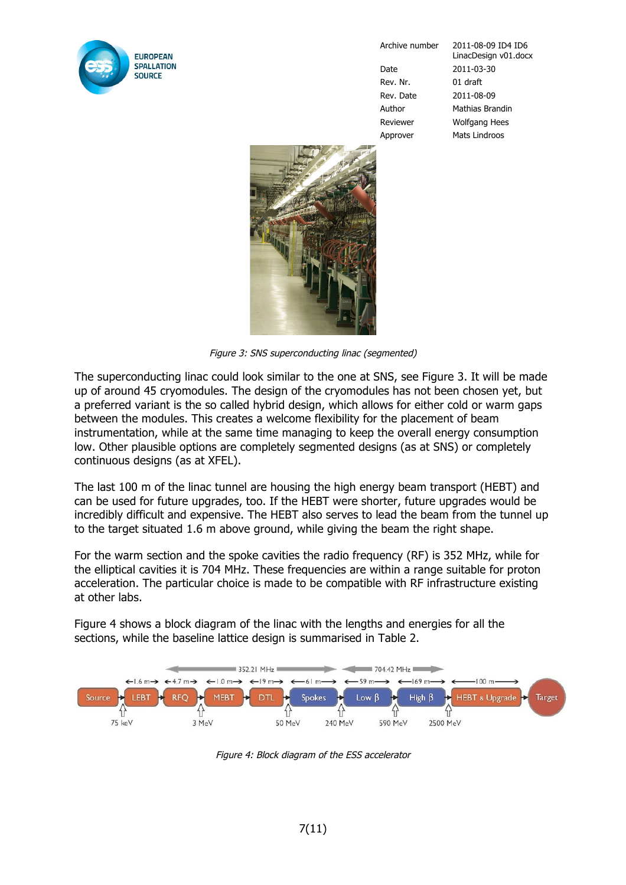

Rev. Nr. 01 draft

Archive number 2011-08-09 ID4 ID6 LinacDesign v01.docx Date 2011-03-30 Rev. Date 2011-08-09 Author Mathias Brandin Reviewer Wolfgang Hees Approver Mats Lindroos



Figure 3: SNS superconducting linac (segmented)

The superconducting linac could look similar to the one at SNS, see Figure 3. It will be made up of around 45 cryomodules. The design of the cryomodules has not been chosen yet, but a preferred variant is the so called hybrid design, which allows for either cold or warm gaps between the modules. This creates a welcome flexibility for the placement of beam instrumentation, while at the same time managing to keep the overall energy consumption low. Other plausible options are completely segmented designs (as at SNS) or completely continuous designs (as at XFEL).

The last 100 m of the linac tunnel are housing the high energy beam transport (HEBT) and can be used for future upgrades, too. If the HEBT were shorter, future upgrades would be incredibly difficult and expensive. The HEBT also serves to lead the beam from the tunnel up to the target situated 1.6 m above ground, while giving the beam the right shape.

For the warm section and the spoke cavities the radio frequency (RF) is 352 MHz, while for the elliptical cavities it is 704 MHz. These frequencies are within a range suitable for proton acceleration. The particular choice is made to be compatible with RF infrastructure existing at other labs.

Figure 4 shows a block diagram of the linac with the lengths and energies for all the sections, while the baseline lattice design is summarised in Table 2.



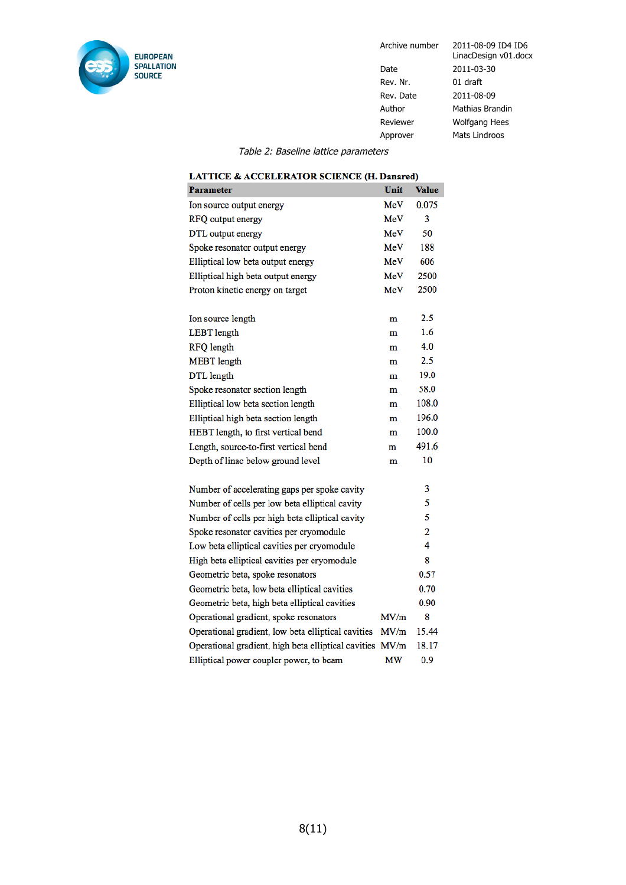

Archive number 2011-08-09 ID4 ID6

LinacDesign v01.docx Date 2011-03-30 Rev. Nr. 01 draft Rev. Date 2011-08-09 Author Mathias Brandin Reviewer Wolfgang Hees Approver Mats Lindroos

Table 2: Baseline lattice parameters

| <b>Parameter</b>                                    | Unit | <b>Value</b> |
|-----------------------------------------------------|------|--------------|
| Ion source output energy                            | MeV  | 0.075        |
| RFQ output energy                                   | MeV  | 3            |
| DTL output energy                                   | MeV  | 50           |
| Spoke resonator output energy                       | MeV  | 188          |
| Elliptical low beta output energy                   | MeV  | 606          |
| Elliptical high beta output energy                  | MeV  | 2500         |
| Proton kinetic energy on target                     | MeV  | 2500         |
| Ion source length                                   | m    | 2.5          |
| <b>LEBT</b> length                                  | m    | 1.6          |
| <b>RFQ</b> length                                   | m    | 4.0          |
| <b>MEBT</b> length                                  | m    | 2.5          |
| DTL length                                          | m    | 19.0         |
| Spoke resonator section length                      | m    | 58.0         |
| Elliptical low beta section length                  | m    | 108.0        |
| Elliptical high beta section length                 | m    | 196.0        |
| HEBT length, to first vertical bend                 | m    | 100.0        |
| Length, source-to-first vertical bend               | m    | 491.6        |
| Depth of linac below ground level                   | m    | 10           |
| Number of accelerating gaps per spoke cavity        |      | 3            |
| Number of cells per low beta elliptical cavity      |      | 5            |
| Number of cells per high beta elliptical cavity     |      | 5            |
| Spoke resonator cavities per cryomodule             |      | 2            |
| Low beta elliptical cavities per cryomodule         |      | 4            |
| High beta elliptical cavities per cryomodule        |      | 8            |
| Geometric beta, spoke resonators                    |      | 0.57         |
| Geometric beta, low beta elliptical cavities        |      | 0.70         |
| Geometric beta, high beta elliptical cavities       |      | 0.90         |
| Operational gradient, spoke resonators              | MV/m | 8            |
| Operational gradient, low beta elliptical cavities  | MV/m | 15.44        |
| Operational gradient, high beta elliptical cavities | MV/m | 18.17        |
| Elliptical power coupler power, to beam             | МW   | 0.9          |

#### **LATTICE & ACCELERATOR SCIENCE (H. Danared)**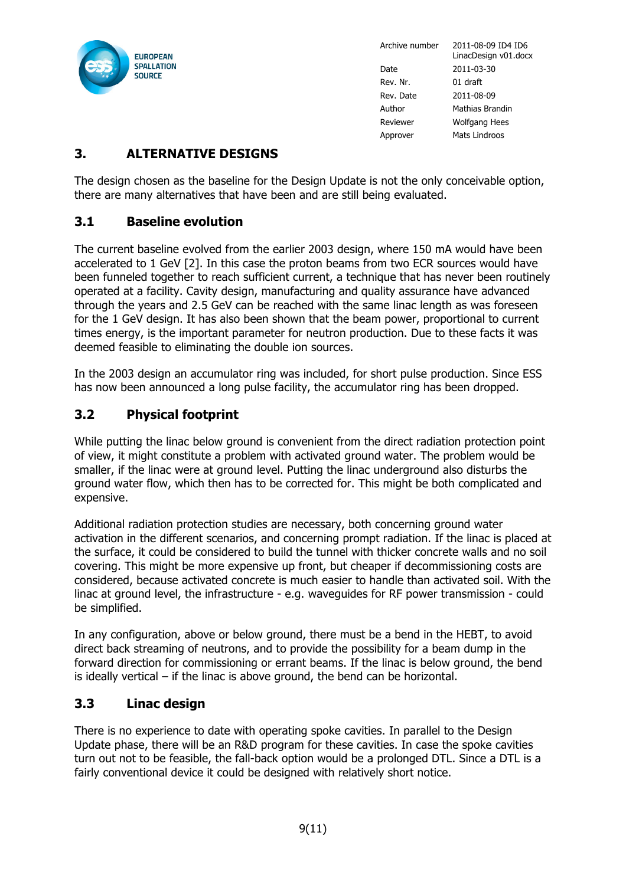

### **3. ALTERNATIVE DESIGNS**

The design chosen as the baseline for the Design Update is not the only conceivable option, there are many alternatives that have been and are still being evaluated.

#### **3.1 Baseline evolution**

The current baseline evolved from the earlier 2003 design, where 150 mA would have been accelerated to 1 GeV [2]. In this case the proton beams from two ECR sources would have been funneled together to reach sufficient current, a technique that has never been routinely operated at a facility. Cavity design, manufacturing and quality assurance have advanced through the years and 2.5 GeV can be reached with the same linac length as was foreseen for the 1 GeV design. It has also been shown that the beam power, proportional to current times energy, is the important parameter for neutron production. Due to these facts it was deemed feasible to eliminating the double ion sources.

In the 2003 design an accumulator ring was included, for short pulse production. Since ESS has now been announced a long pulse facility, the accumulator ring has been dropped.

#### **3.2 Physical footprint**

While putting the linac below ground is convenient from the direct radiation protection point of view, it might constitute a problem with activated ground water. The problem would be smaller, if the linac were at ground level. Putting the linac underground also disturbs the ground water flow, which then has to be corrected for. This might be both complicated and expensive.

Additional radiation protection studies are necessary, both concerning ground water activation in the different scenarios, and concerning prompt radiation. If the linac is placed at the surface, it could be considered to build the tunnel with thicker concrete walls and no soil covering. This might be more expensive up front, but cheaper if decommissioning costs are considered, because activated concrete is much easier to handle than activated soil. With the linac at ground level, the infrastructure - e.g. waveguides for RF power transmission - could be simplified.

In any configuration, above or below ground, there must be a bend in the HEBT, to avoid direct back streaming of neutrons, and to provide the possibility for a beam dump in the forward direction for commissioning or errant beams. If the linac is below ground, the bend is ideally vertical – if the linac is above ground, the bend can be horizontal.

#### **3.3 Linac design**

There is no experience to date with operating spoke cavities. In parallel to the Design Update phase, there will be an R&D program for these cavities. In case the spoke cavities turn out not to be feasible, the fall-back option would be a prolonged DTL. Since a DTL is a fairly conventional device it could be designed with relatively short notice.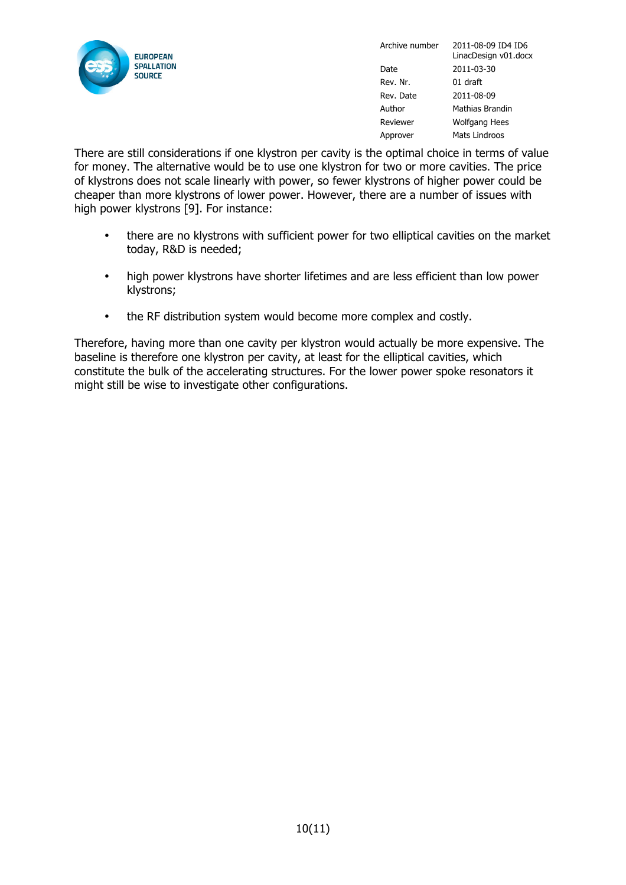

There are still considerations if one klystron per cavity is the optimal choice in terms of value for money. The alternative would be to use one klystron for two or more cavities. The price of klystrons does not scale linearly with power, so fewer klystrons of higher power could be cheaper than more klystrons of lower power. However, there are a number of issues with high power klystrons [9]. For instance:

- there are no klystrons with sufficient power for two elliptical cavities on the market today, R&D is needed;
- high power klystrons have shorter lifetimes and are less efficient than low power klystrons;
- the RF distribution system would become more complex and costly.

Therefore, having more than one cavity per klystron would actually be more expensive. The baseline is therefore one klystron per cavity, at least for the elliptical cavities, which constitute the bulk of the accelerating structures. For the lower power spoke resonators it might still be wise to investigate other configurations.